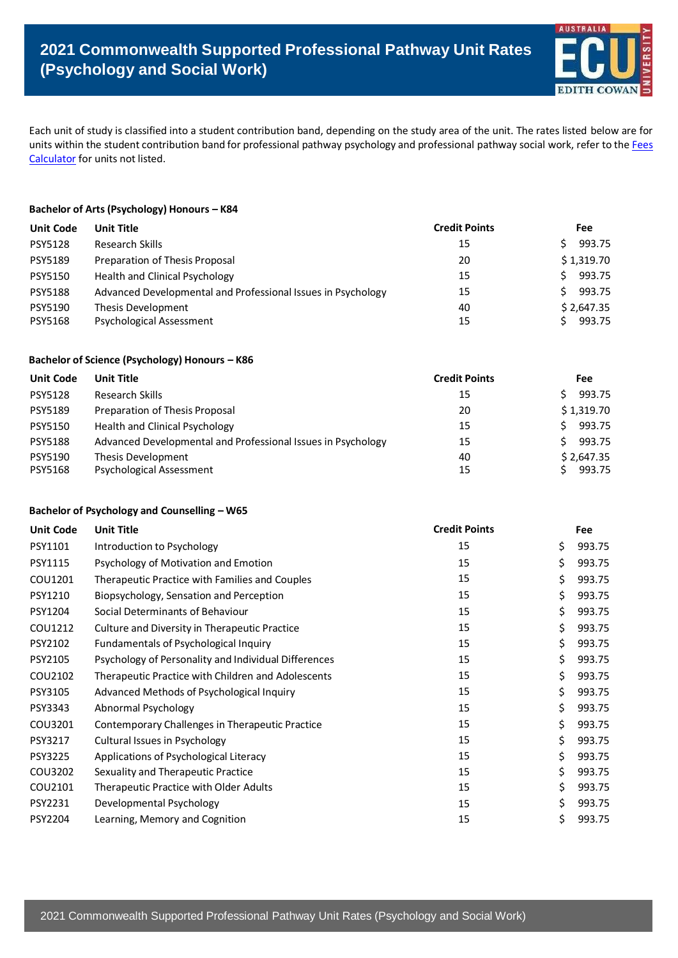

Each unit of study is classified into a student contribution band, depending on the study area of the unit. The rates listed below are for units within the student contribution band for professional pathway psychology and professional pathway social work, refer to the [Fees](https://apps.ecu.edu.au/fees-calculator/) [Calculator](https://apps.ecu.edu.au/fees-calculator/) for units not listed.

## **Bachelor of Arts (Psychology) Honours – K84**

| <b>Unit Code</b> | <b>Unit Title</b>                                            | <b>Credit Points</b> | <b>Fee</b> |
|------------------|--------------------------------------------------------------|----------------------|------------|
| <b>PSY5128</b>   | Research Skills                                              | 15                   | 993.75     |
| <b>PSY5189</b>   | Preparation of Thesis Proposal                               | 20                   | \$1,319.70 |
| <b>PSY5150</b>   | Health and Clinical Psychology                               | 15                   | 993.75     |
| <b>PSY5188</b>   | Advanced Developmental and Professional Issues in Psychology | 15                   | 993.75     |
| PSY5190          | Thesis Development                                           | 40                   | \$2,647.35 |
| <b>PSY5168</b>   | <b>Psychological Assessment</b>                              | 15                   | 993.75     |

#### **Bachelor of Science (Psychology) Honours – K86**

| <b>Unit Code</b> | Unit Title                                                   | <b>Credit Points</b> | <b>Fee</b> |
|------------------|--------------------------------------------------------------|----------------------|------------|
| <b>PSY5128</b>   | Research Skills                                              | 15                   | 993.75     |
| <b>PSY5189</b>   | Preparation of Thesis Proposal                               | 20                   | \$1,319.70 |
| PSY5150          | Health and Clinical Psychology                               | 15                   | 993.75     |
| <b>PSY5188</b>   | Advanced Developmental and Professional Issues in Psychology | 15                   | 993.75     |
| PSY5190          | Thesis Development                                           | 40                   | \$2,647.35 |
| <b>PSY5168</b>   | <b>Psychological Assessment</b>                              | 15                   | 993.75     |

#### **Bachelor of Psychology and Counselling – W65**

| <b>Unit Code</b> | <b>Unit Title</b>                                    | <b>Credit Points</b> | Fee          |
|------------------|------------------------------------------------------|----------------------|--------------|
| PSY1101          | Introduction to Psychology                           | 15                   | \$<br>993.75 |
| PSY1115          | Psychology of Motivation and Emotion                 | 15                   | \$<br>993.75 |
| COU1201          | Therapeutic Practice with Families and Couples       | 15                   | \$<br>993.75 |
| PSY1210          | Biopsychology, Sensation and Perception              | 15                   | \$<br>993.75 |
| PSY1204          | Social Determinants of Behaviour                     | 15                   | \$<br>993.75 |
| COU1212          | Culture and Diversity in Therapeutic Practice        | 15                   | \$<br>993.75 |
| PSY2102          | Fundamentals of Psychological Inquiry                | 15                   | \$<br>993.75 |
| PSY2105          | Psychology of Personality and Individual Differences | 15                   | \$<br>993.75 |
| COU2102          | Therapeutic Practice with Children and Adolescents   | 15                   | \$<br>993.75 |
| PSY3105          | Advanced Methods of Psychological Inquiry            | 15                   | \$<br>993.75 |
| PSY3343          | Abnormal Psychology                                  | 15                   | \$<br>993.75 |
| COU3201          | Contemporary Challenges in Therapeutic Practice      | 15                   | \$<br>993.75 |
| PSY3217          | Cultural Issues in Psychology                        | 15                   | \$<br>993.75 |
| <b>PSY3225</b>   | Applications of Psychological Literacy               | 15                   | \$<br>993.75 |
| COU3202          | Sexuality and Therapeutic Practice                   | 15                   | \$<br>993.75 |
| COU2101          | Therapeutic Practice with Older Adults               | 15                   | \$<br>993.75 |
| PSY2231          | Developmental Psychology                             | 15                   | \$<br>993.75 |
| PSY2204          | Learning, Memory and Cognition                       | 15                   | \$<br>993.75 |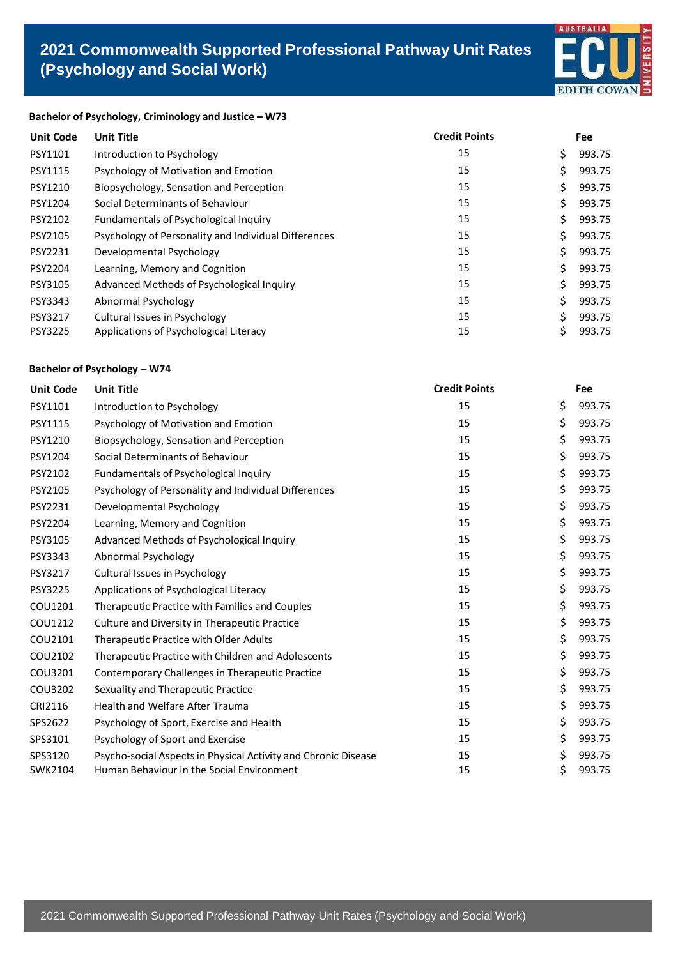

## **Bachelor of Psychology, Criminology and Justice – W73**

| <b>Unit Code</b> | <b>Unit Title</b>                                    | <b>Credit Points</b> | Fee          |
|------------------|------------------------------------------------------|----------------------|--------------|
| PSY1101          | Introduction to Psychology                           | 15                   | \$<br>993.75 |
| PSY1115          | Psychology of Motivation and Emotion                 | 15                   | \$<br>993.75 |
| PSY1210          | Biopsychology, Sensation and Perception              | 15                   | 993.75       |
| PSY1204          | Social Determinants of Behaviour                     | 15                   | \$<br>993.75 |
| PSY2102          | Fundamentals of Psychological Inquiry                | 15                   | \$<br>993.75 |
| PSY2105          | Psychology of Personality and Individual Differences | 15                   | \$<br>993.75 |
| PSY2231          | Developmental Psychology                             | 15                   | \$<br>993.75 |
| PSY2204          | Learning, Memory and Cognition                       | 15                   | \$<br>993.75 |
| PSY3105          | Advanced Methods of Psychological Inquiry            | 15                   | \$<br>993.75 |
| PSY3343          | Abnormal Psychology                                  | 15                   | \$<br>993.75 |
| PSY3217          | Cultural Issues in Psychology                        | 15                   | 993.75       |
| <b>PSY3225</b>   | Applications of Psychological Literacy               | 15                   | \$<br>993.75 |

# **Bachelor of Psychology – W74**

| <b>Unit Code</b> | <b>Unit Title</b>                                              | <b>Credit Points</b> | Fee          |
|------------------|----------------------------------------------------------------|----------------------|--------------|
| PSY1101          | Introduction to Psychology                                     | 15                   | \$<br>993.75 |
| PSY1115          | Psychology of Motivation and Emotion                           | 15                   | \$<br>993.75 |
| PSY1210          | Biopsychology, Sensation and Perception                        | 15                   | \$<br>993.75 |
| PSY1204          | Social Determinants of Behaviour                               | 15                   | \$<br>993.75 |
| PSY2102          | Fundamentals of Psychological Inquiry                          | 15                   | \$<br>993.75 |
| PSY2105          | Psychology of Personality and Individual Differences           | 15                   | \$<br>993.75 |
| PSY2231          | Developmental Psychology                                       | 15                   | \$<br>993.75 |
| PSY2204          | Learning, Memory and Cognition                                 | 15                   | \$<br>993.75 |
| PSY3105          | Advanced Methods of Psychological Inquiry                      | 15                   | \$<br>993.75 |
| PSY3343          | Abnormal Psychology                                            | 15                   | \$<br>993.75 |
| PSY3217          | Cultural Issues in Psychology                                  | 15                   | \$<br>993.75 |
| <b>PSY3225</b>   | Applications of Psychological Literacy                         | 15                   | \$<br>993.75 |
| COU1201          | Therapeutic Practice with Families and Couples                 | 15                   | \$<br>993.75 |
| COU1212          | Culture and Diversity in Therapeutic Practice                  | 15                   | \$<br>993.75 |
| COU2101          | Therapeutic Practice with Older Adults                         | 15                   | \$<br>993.75 |
| COU2102          | Therapeutic Practice with Children and Adolescents             | 15                   | \$<br>993.75 |
| COU3201          | Contemporary Challenges in Therapeutic Practice                | 15                   | \$<br>993.75 |
| COU3202          | Sexuality and Therapeutic Practice                             | 15                   | \$<br>993.75 |
| CRI2116          | <b>Health and Welfare After Trauma</b>                         | 15                   | \$<br>993.75 |
| SPS2622          | Psychology of Sport, Exercise and Health                       | 15                   | \$<br>993.75 |
| SPS3101          | Psychology of Sport and Exercise                               | 15                   | \$<br>993.75 |
| SPS3120          | Psycho-social Aspects in Physical Activity and Chronic Disease | 15                   | \$<br>993.75 |
| SWK2104          | Human Behaviour in the Social Environment                      | 15                   | \$<br>993.75 |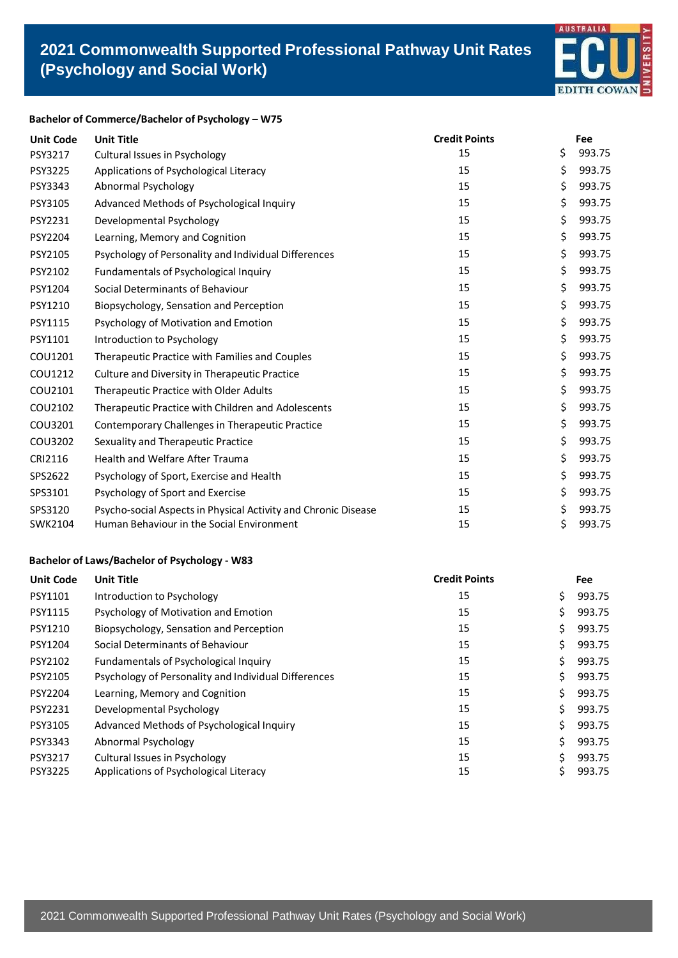

# **Bachelor of Commerce/Bachelor of Psychology – W75**

| <b>Unit Code</b> | <b>Unit Title</b>                                              | <b>Credit Points</b> | Fee          |
|------------------|----------------------------------------------------------------|----------------------|--------------|
| PSY3217          | Cultural Issues in Psychology                                  | 15                   | \$<br>993.75 |
| PSY3225          | Applications of Psychological Literacy                         | 15                   | \$<br>993.75 |
| PSY3343          | Abnormal Psychology                                            | 15                   | \$<br>993.75 |
| PSY3105          | Advanced Methods of Psychological Inquiry                      | 15                   | \$<br>993.75 |
| PSY2231          | Developmental Psychology                                       | 15                   | \$<br>993.75 |
| PSY2204          | Learning, Memory and Cognition                                 | 15                   | \$<br>993.75 |
| PSY2105          | Psychology of Personality and Individual Differences           | 15                   | \$<br>993.75 |
| PSY2102          | Fundamentals of Psychological Inquiry                          | 15                   | \$<br>993.75 |
| PSY1204          | Social Determinants of Behaviour                               | 15                   | \$<br>993.75 |
| PSY1210          | Biopsychology, Sensation and Perception                        | 15                   | \$<br>993.75 |
| PSY1115          | Psychology of Motivation and Emotion                           | 15                   | \$<br>993.75 |
| PSY1101          | Introduction to Psychology                                     | 15                   | \$<br>993.75 |
| COU1201          | Therapeutic Practice with Families and Couples                 | 15                   | \$<br>993.75 |
| COU1212          | Culture and Diversity in Therapeutic Practice                  | 15                   | \$<br>993.75 |
| COU2101          | Therapeutic Practice with Older Adults                         | 15                   | \$<br>993.75 |
| COU2102          | Therapeutic Practice with Children and Adolescents             | 15                   | \$<br>993.75 |
| COU3201          | Contemporary Challenges in Therapeutic Practice                | 15                   | \$<br>993.75 |
| COU3202          | Sexuality and Therapeutic Practice                             | 15                   | \$<br>993.75 |
| CRI2116          | <b>Health and Welfare After Trauma</b>                         | 15                   | \$<br>993.75 |
| SPS2622          | Psychology of Sport, Exercise and Health                       | 15                   | \$<br>993.75 |
| SPS3101          | Psychology of Sport and Exercise                               | 15                   | \$<br>993.75 |
| SPS3120          | Psycho-social Aspects in Physical Activity and Chronic Disease | 15                   | \$<br>993.75 |
| SWK2104          | Human Behaviour in the Social Environment                      | 15                   | \$<br>993.75 |

# **Bachelor of Laws/Bachelor of Psychology - W83**

| <b>Unit Code</b> | <b>Unit Title</b>                                    | <b>Credit Points</b> | <b>Fee</b>   |
|------------------|------------------------------------------------------|----------------------|--------------|
| PSY1101          | Introduction to Psychology                           | 15                   | \$<br>993.75 |
| <b>PSY1115</b>   | Psychology of Motivation and Emotion                 | 15                   | \$<br>993.75 |
| PSY1210          | Biopsychology, Sensation and Perception              | 15                   | \$<br>993.75 |
| PSY1204          | Social Determinants of Behaviour                     | 15                   | \$<br>993.75 |
| PSY2102          | Fundamentals of Psychological Inquiry                | 15                   | \$<br>993.75 |
| PSY2105          | Psychology of Personality and Individual Differences | 15                   | \$<br>993.75 |
| PSY2204          | Learning, Memory and Cognition                       | 15                   | \$<br>993.75 |
| PSY2231          | Developmental Psychology                             | 15                   | \$<br>993.75 |
| PSY3105          | Advanced Methods of Psychological Inquiry            | 15                   | \$<br>993.75 |
| PSY3343          | Abnormal Psychology                                  | 15                   | \$<br>993.75 |
| PSY3217          | Cultural Issues in Psychology                        | 15                   | 993.75       |
| <b>PSY3225</b>   | Applications of Psychological Literacy               | 15                   | 993.75       |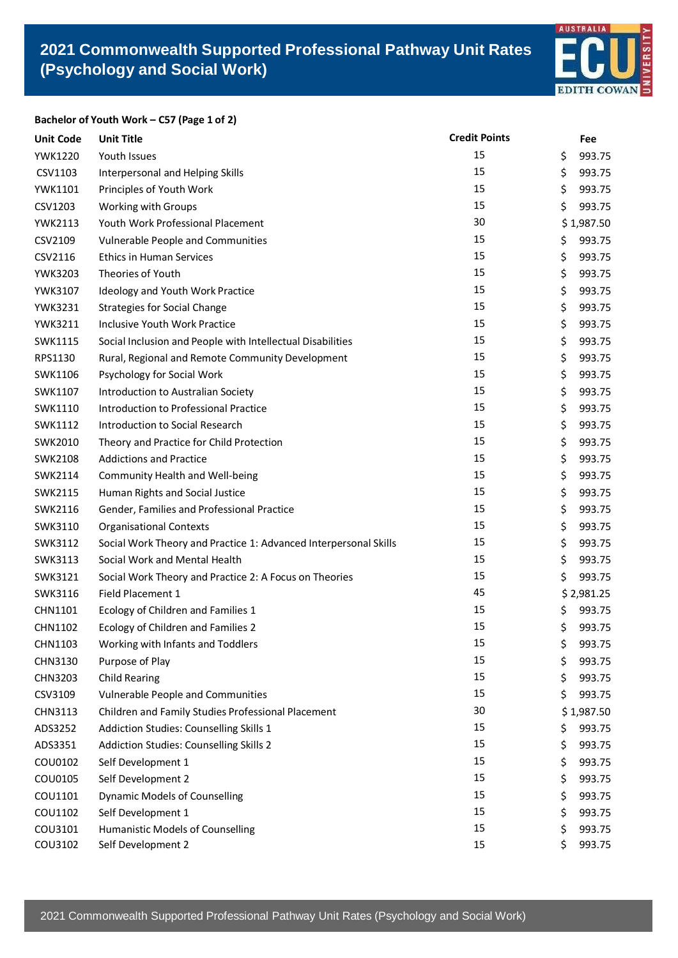

#### **Bachelor of Youth Work – C57 (Page 1 of 2)**

| <b>Unit Code</b> | <b>Unit Title</b>                                                | <b>Credit Points</b> | Fee          |
|------------------|------------------------------------------------------------------|----------------------|--------------|
| <b>YWK1220</b>   | Youth Issues                                                     | 15                   | \$<br>993.75 |
| CSV1103          | Interpersonal and Helping Skills                                 | 15                   | \$<br>993.75 |
| <b>YWK1101</b>   | Principles of Youth Work                                         | 15                   | \$<br>993.75 |
| CSV1203          | Working with Groups                                              | 15                   | \$<br>993.75 |
| <b>YWK2113</b>   | Youth Work Professional Placement                                | 30                   | \$1,987.50   |
| CSV2109          | Vulnerable People and Communities                                | 15                   | \$<br>993.75 |
| CSV2116          | <b>Ethics in Human Services</b>                                  | 15                   | \$<br>993.75 |
| <b>YWK3203</b>   | Theories of Youth                                                | 15                   | \$<br>993.75 |
| YWK3107          | Ideology and Youth Work Practice                                 | 15                   | \$<br>993.75 |
| <b>YWK3231</b>   | <b>Strategies for Social Change</b>                              | 15                   | \$<br>993.75 |
| <b>YWK3211</b>   | Inclusive Youth Work Practice                                    | 15                   | \$<br>993.75 |
| SWK1115          | Social Inclusion and People with Intellectual Disabilities       | 15                   | \$<br>993.75 |
| RPS1130          | Rural, Regional and Remote Community Development                 | 15                   | \$<br>993.75 |
| SWK1106          | Psychology for Social Work                                       | 15                   | \$<br>993.75 |
| SWK1107          | Introduction to Australian Society                               | 15                   | \$<br>993.75 |
| SWK1110          | Introduction to Professional Practice                            | 15                   | \$<br>993.75 |
| SWK1112          | <b>Introduction to Social Research</b>                           | 15                   | \$<br>993.75 |
| SWK2010          | Theory and Practice for Child Protection                         | 15                   | \$<br>993.75 |
| SWK2108          | <b>Addictions and Practice</b>                                   | 15                   | \$<br>993.75 |
| SWK2114          | Community Health and Well-being                                  | 15                   | \$<br>993.75 |
| SWK2115          | Human Rights and Social Justice                                  | 15                   | \$<br>993.75 |
| SWK2116          | Gender, Families and Professional Practice                       | 15                   | \$<br>993.75 |
| SWK3110          | <b>Organisational Contexts</b>                                   | 15                   | \$<br>993.75 |
| SWK3112          | Social Work Theory and Practice 1: Advanced Interpersonal Skills | 15                   | \$<br>993.75 |
| SWK3113          | Social Work and Mental Health                                    | 15                   | \$<br>993.75 |
| SWK3121          | Social Work Theory and Practice 2: A Focus on Theories           | 15                   | \$<br>993.75 |
| SWK3116          | Field Placement 1                                                | 45                   | \$2,981.25   |
| CHN1101          | Ecology of Children and Families 1                               | 15                   | \$<br>993.75 |
| CHN1102          | Ecology of Children and Families 2                               | 15                   | \$<br>993.75 |
| CHN1103          | Working with Infants and Toddlers                                | 15                   | \$<br>993.75 |
| CHN3130          | Purpose of Play                                                  | 15                   | \$<br>993.75 |
| CHN3203          | <b>Child Rearing</b>                                             | 15                   | \$<br>993.75 |
| CSV3109          | <b>Vulnerable People and Communities</b>                         | 15                   | \$<br>993.75 |
| <b>CHN3113</b>   | Children and Family Studies Professional Placement               | 30                   | \$1,987.50   |
| ADS3252          | Addiction Studies: Counselling Skills 1                          | 15                   | \$<br>993.75 |
| ADS3351          | Addiction Studies: Counselling Skills 2                          | 15                   | \$<br>993.75 |
| COU0102          | Self Development 1                                               | 15                   | \$<br>993.75 |
| COU0105          | Self Development 2                                               | 15                   | \$<br>993.75 |
| COU1101          | <b>Dynamic Models of Counselling</b>                             | 15                   | \$<br>993.75 |
| COU1102          | Self Development 1                                               | 15                   | \$<br>993.75 |
| COU3101          | <b>Humanistic Models of Counselling</b>                          | 15                   | \$<br>993.75 |
| COU3102          | Self Development 2                                               | 15                   | \$<br>993.75 |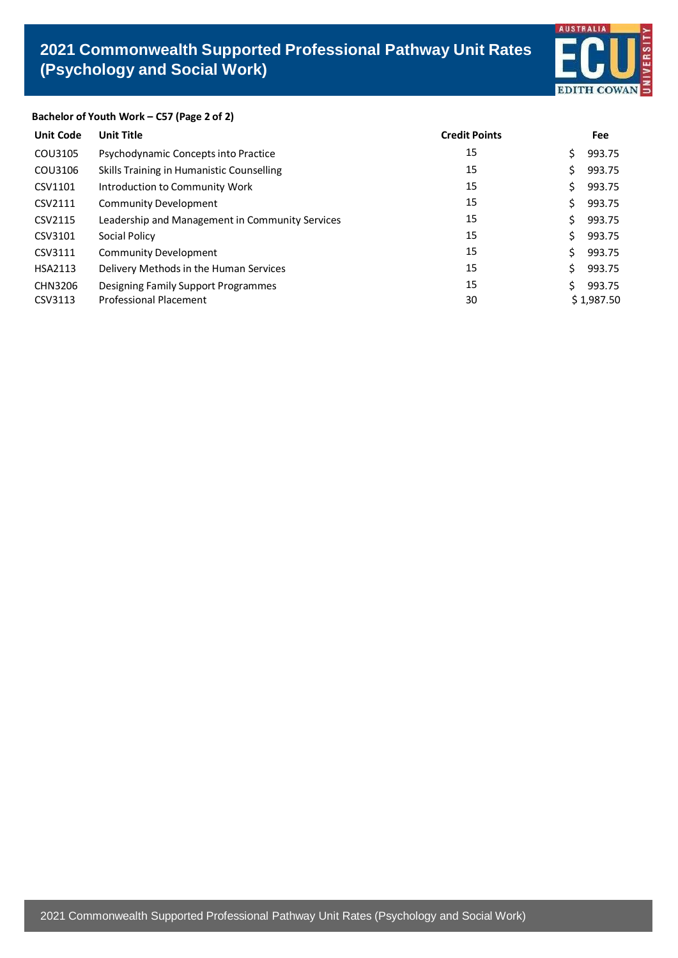

# **Bachelor of Youth Work – C57 (Page 2 of 2)**

| <b>Unit Code</b> | <b>Unit Title</b>                               | <b>Credit Points</b> |     | <b>Fee</b> |
|------------------|-------------------------------------------------|----------------------|-----|------------|
| COU3105          | Psychodynamic Concepts into Practice            | 15                   | Ś.  | 993.75     |
| COU3106          | Skills Training in Humanistic Counselling       | 15                   | Ś   | 993.75     |
| CSV1101          | Introduction to Community Work                  | 15                   | \$. | 993.75     |
| CSV2111          | <b>Community Development</b>                    | 15                   | Ś.  | 993.75     |
| CSV2115          | Leadership and Management in Community Services | 15                   | Ś.  | 993.75     |
| CSV3101          | Social Policy                                   | 15                   | \$  | 993.75     |
| CSV3111          | Community Development                           | 15                   | Ś.  | 993.75     |
| <b>HSA2113</b>   | Delivery Methods in the Human Services          | 15                   | Ś.  | 993.75     |
| <b>CHN3206</b>   | Designing Family Support Programmes             | 15                   | Š.  | 993.75     |
| CSV3113          | <b>Professional Placement</b>                   | 30                   |     | \$1,987.50 |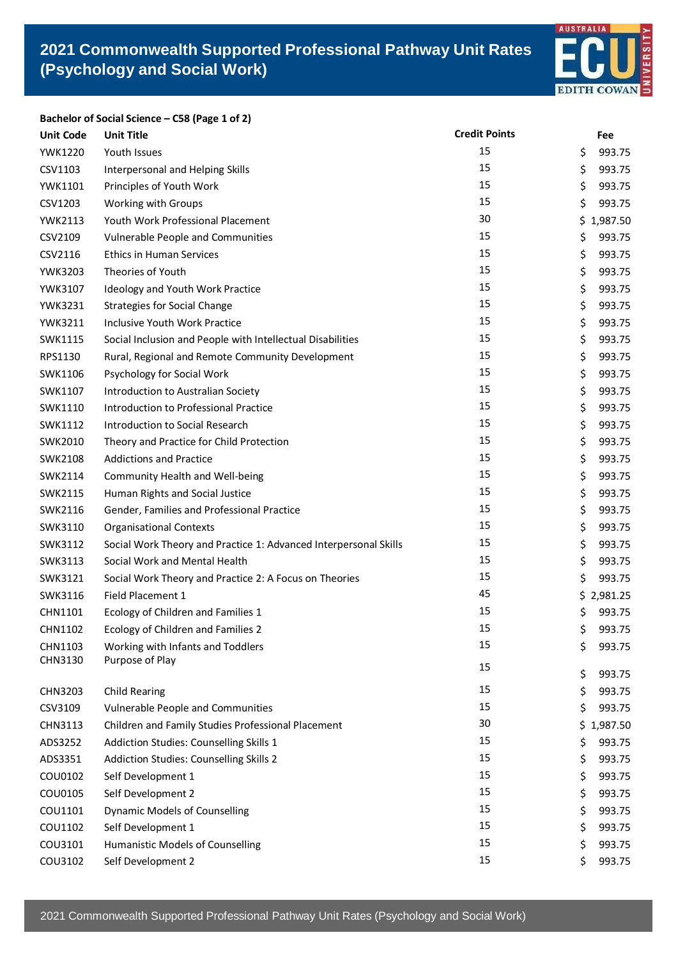

**Bachelor of Social Science – C58 (Page 1 of 2) Unit Code Unit Title Credit Points Fee** YWK1220 Youth Issues 2008 15 5 993.75 CSV1103 Interpersonal and Helping Skills 15 15 15 16 1993.75 YWK1101 Principles of Youth Work 15 393.75 CSV1203 Working with Groups 15 3993.75 YWK2113 Youth Work Professional Placement 30 30 \$ 1,987.50 CSV2109 Vulnerable People and Communities 15 15 15 5 993.75  $CSV2116$  Ethics in Human Services 2008 15  $\frac{15}{5}$  993.75 YWK3203 Theories of Youth 15 993.75 YWK3107 Ideology and Youth Work Practice 15 15 5 993.75 YWK3231 Strategies for Social Change 15 and 15 3 993.75 YWK3211 Inclusive Youth Work Practice 15 15 \$ 993.75 SWK1115 Social Inclusion and People with Intellectual Disabilities 15 15 5 993.75 RPS1130 Rural, Regional and Remote Community Development 15 15 \$ 993.75 SWK1106 Psychology for Social Work 15 3 993.75 SWK1107 Introduction to Australian Society 15 15 5 993.75 SWK1110 Introduction to Professional Practice 15 15 15 5 993.75 SWK1112 Introduction to Social Research 15 15 5 993.75 SWK2010 Theory and Practice for Child Protection 15 15 \$ 993.75 SWK2108 Addictions and Practice 15 and 200 and 200 and 200 and 200 and 200 and 200 and 200 and 200 and 200 and 200 and 200 and 200 and 200 and 200 and 200 and 200 and 200 and 200 and 200 and 200 and 200 and 200 and 200 and SWK2114 Community Health and Well-being 15 15 15 15 16 17 17 17 18 18 1993.75 SWK2115 Human Rights and Social Justice 15 15 5 993.75 SWK2116 Gender, Families and Professional Practice 15 15 5 993.75 SWK3110 Organisational Contexts 15 393.75 SWK3112 Social Work Theory and Practice 1: Advanced Interpersonal Skills 15 15 \$ 993.75 SWK3113 Social Work and Mental Health 15 15 15 16 17 17 17 18 18 1993.75 SWK3121 Social Work Theory and Practice 2: A Focus on Theories 15 15 \$ 993.75 SWK3116 Field Placement 1 6 and 5 3,981.25 CHN1101 Ecology of Children and Families 1 15 \$ 993.75 CHN1102 Ecology of Children and Families 2 15 15 5 993.75 CHN1103 Working with Infants and Toddlers 15 15 5 993.75

| CHN3130        | Purpose of Play                                    |    |    |            |
|----------------|----------------------------------------------------|----|----|------------|
|                |                                                    | 15 | \$ | 993.75     |
| CHN3203        | Child Rearing                                      | 15 | \$ | 993.75     |
| CSV3109        | Vulnerable People and Communities                  | 15 | \$ | 993.75     |
| <b>CHN3113</b> | Children and Family Studies Professional Placement | 30 |    | \$1,987.50 |
| ADS3252        | Addiction Studies: Counselling Skills 1            | 15 | \$ | 993.75     |
| ADS3351        | Addiction Studies: Counselling Skills 2            | 15 | \$ | 993.75     |
| COU0102        | Self Development 1                                 | 15 | \$ | 993.75     |
| COU0105        | Self Development 2                                 | 15 | \$ | 993.75     |
| COU1101        | Dynamic Models of Counselling                      | 15 | Ś. | 993.75     |
| COU1102        | Self Development 1                                 | 15 | \$ | 993.75     |
| COU3101        | <b>Humanistic Models of Counselling</b>            | 15 | Ś  | 993.75     |
| COU3102        | Self Development 2                                 | 15 | \$ | 993.75     |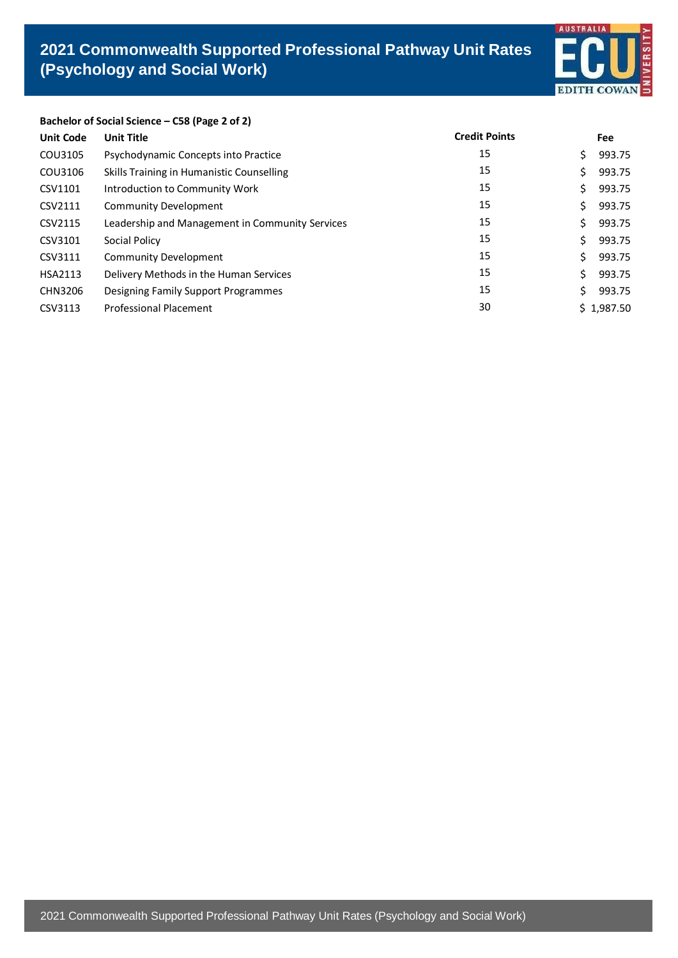

# **Bachelor of Social Science – C58 (Page 2 of 2)**

| <b>Unit Code</b> | <b>Unit Title</b>                               | <b>Credit Points</b> |    | <b>Fee</b> |
|------------------|-------------------------------------------------|----------------------|----|------------|
| COU3105          | Psychodynamic Concepts into Practice            | 15                   | \$ | 993.75     |
| COU3106          | Skills Training in Humanistic Counselling       | 15                   | \$ | 993.75     |
| CSV1101          | Introduction to Community Work                  | 15                   | \$ | 993.75     |
| CSV2111          | <b>Community Development</b>                    | 15                   | \$ | 993.75     |
| CSV2115          | Leadership and Management in Community Services | 15                   | Ś. | 993.75     |
| CSV3101          | Social Policy                                   | 15                   | Ś. | 993.75     |
| CSV3111          | Community Development                           | 15                   | \$ | 993.75     |
| <b>HSA2113</b>   | Delivery Methods in the Human Services          | 15                   | Ś. | 993.75     |
| CHN3206          | Designing Family Support Programmes             | 15                   | Ś. | 993.75     |
| CSV3113          | <b>Professional Placement</b>                   | 30                   |    | \$1,987.50 |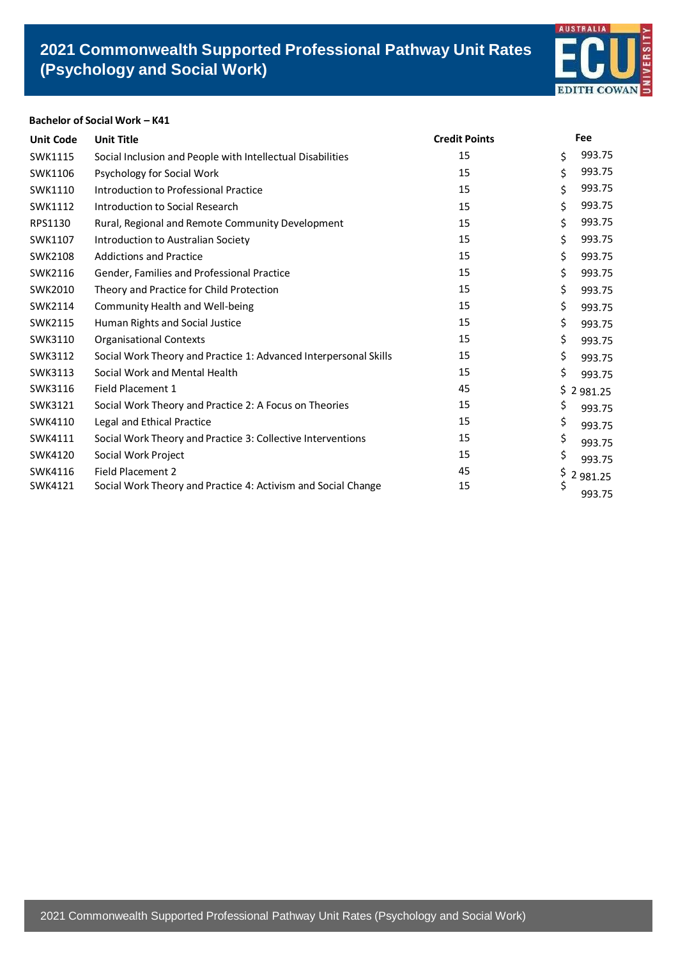# **2021 Commonwealth Supported Professional Pathway Unit Rates (Psychology and Social Work)**



# **Bachelor of Social Work – K41**

| <b>Unit Code</b> | <b>Unit Title</b>                                                | <b>Credit Points</b> |     | Fee      |
|------------------|------------------------------------------------------------------|----------------------|-----|----------|
| SWK1115          | Social Inclusion and People with Intellectual Disabilities       | 15                   | \$  | 993.75   |
| SWK1106          | Psychology for Social Work                                       | 15                   | \$  | 993.75   |
| SWK1110          | Introduction to Professional Practice                            | 15                   | \$  | 993.75   |
| SWK1112          | Introduction to Social Research                                  | 15                   | \$  | 993.75   |
| RPS1130          | Rural, Regional and Remote Community Development                 | 15                   | \$  | 993.75   |
| SWK1107          | Introduction to Australian Society                               | 15                   | \$  | 993.75   |
| <b>SWK2108</b>   | <b>Addictions and Practice</b>                                   | 15                   | \$  | 993.75   |
| SWK2116          | Gender, Families and Professional Practice                       | 15                   | \$  | 993.75   |
| SWK2010          | Theory and Practice for Child Protection                         | 15                   | \$  | 993.75   |
| SWK2114          | Community Health and Well-being                                  | 15                   | \$  | 993.75   |
| SWK2115          | Human Rights and Social Justice                                  | 15                   | \$  | 993.75   |
| SWK3110          | <b>Organisational Contexts</b>                                   | 15                   | \$  | 993.75   |
| SWK3112          | Social Work Theory and Practice 1: Advanced Interpersonal Skills | 15                   | \$  | 993.75   |
| SWK3113          | Social Work and Mental Health                                    | 15                   | \$  | 993.75   |
| SWK3116          | Field Placement 1                                                | 45                   | \$. | 2 981.25 |
| SWK3121          | Social Work Theory and Practice 2: A Focus on Theories           | 15                   | \$  | 993.75   |
| SWK4110          | Legal and Ethical Practice                                       | 15                   | \$  | 993.75   |
| SWK4111          | Social Work Theory and Practice 3: Collective Interventions      | 15                   | \$  | 993.75   |
| SWK4120          | Social Work Project                                              | 15                   | \$  | 993.75   |
| SWK4116          | <b>Field Placement 2</b>                                         | 45                   | \$  | 2 981.25 |
| SWK4121          | Social Work Theory and Practice 4: Activism and Social Change    | 15                   | \$  | 993.75   |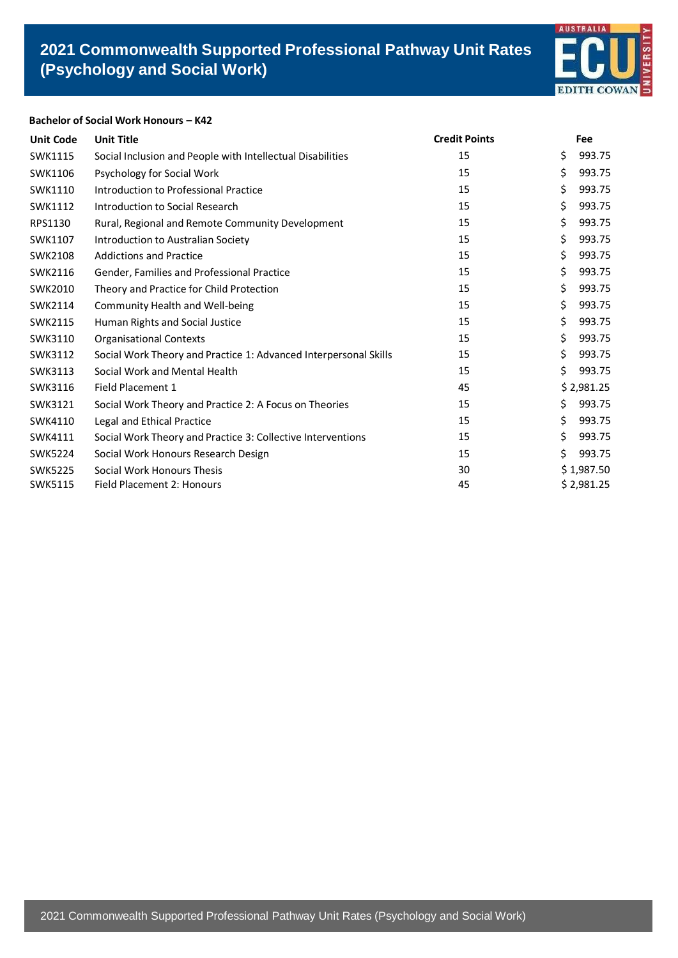

## **Bachelor of Social Work Honours – K42**

| <b>Unit Code</b> | <b>Unit Title</b>                                                | <b>Credit Points</b> | <b>Fee</b>   |
|------------------|------------------------------------------------------------------|----------------------|--------------|
| SWK1115          | Social Inclusion and People with Intellectual Disabilities       | 15                   | \$<br>993.75 |
| SWK1106          | Psychology for Social Work                                       | 15                   | \$<br>993.75 |
| SWK1110          | Introduction to Professional Practice                            | 15                   | \$<br>993.75 |
| SWK1112          | Introduction to Social Research                                  | 15                   | \$<br>993.75 |
| RPS1130          | Rural, Regional and Remote Community Development                 | 15                   | \$<br>993.75 |
| SWK1107          | Introduction to Australian Society                               | 15                   | \$<br>993.75 |
| <b>SWK2108</b>   | <b>Addictions and Practice</b>                                   | 15                   | \$<br>993.75 |
| SWK2116          | Gender, Families and Professional Practice                       | 15                   | \$<br>993.75 |
| SWK2010          | Theory and Practice for Child Protection                         | 15                   | \$<br>993.75 |
| SWK2114          | Community Health and Well-being                                  | 15                   | \$<br>993.75 |
| <b>SWK2115</b>   | Human Rights and Social Justice                                  | 15                   | \$<br>993.75 |
| SWK3110          | <b>Organisational Contexts</b>                                   | 15                   | \$<br>993.75 |
| SWK3112          | Social Work Theory and Practice 1: Advanced Interpersonal Skills | 15                   | \$<br>993.75 |
| SWK3113          | Social Work and Mental Health                                    | 15                   | \$<br>993.75 |
| SWK3116          | Field Placement 1                                                | 45                   | \$2,981.25   |
| SWK3121          | Social Work Theory and Practice 2: A Focus on Theories           | 15                   | \$<br>993.75 |
| SWK4110          | Legal and Ethical Practice                                       | 15                   | \$<br>993.75 |
| SWK4111          | Social Work Theory and Practice 3: Collective Interventions      | 15                   | \$<br>993.75 |
| <b>SWK5224</b>   | Social Work Honours Research Design                              | 15                   | \$<br>993.75 |
| <b>SWK5225</b>   | Social Work Honours Thesis                                       | 30                   | \$1,987.50   |
| SWK5115          | Field Placement 2: Honours                                       | 45                   | \$2,981.25   |